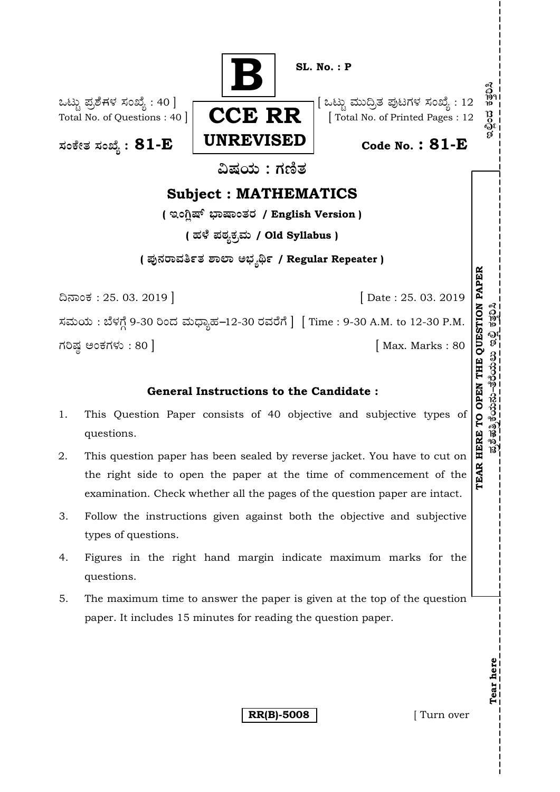

## **General Instructions to the Candidate :**

- 1. This Question Paper consists of 40 objective and subjective types of questions.
- 2. This question paper has been sealed by reverse jacket. You have to cut on the right side to open the paper at the time of commencement of the examination. Check whether all the pages of the question paper are intact.
- 3. Follow the instructions given against both the objective and subjective types of questions.
- 4. Figures in the right hand margin indicate maximum marks for the questions.
- 5. The maximum time to answer the paper is given at the top of the question paper. It includes 15 minutes for reading the question paper.

**RR(B)-5008** [ Turn over

**Tear here** 

Tear here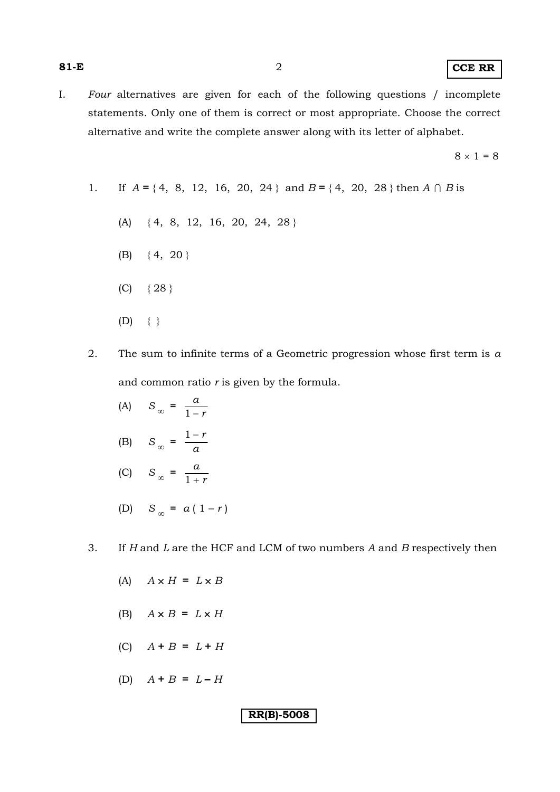I. *Four* alternatives are given for each of the following questions / incomplete statements. Only one of them is correct or most appropriate. Choose the correct alternative and write the complete answer along with its letter of alphabet.

 $8 \times 1 = 8$ 

- 1. If  $A = \{4, 8, 12, 16, 20, 24\}$  and  $B = \{4, 20, 28\}$  then  $A \cap B$  is
	- (A) { 4, 8, 12, 16, 20, 24, 28 }
	- (B)  $\{4, 20\}$
	- $(C) \{28\}$
	- $(D) \quad \{ \}$
- 2. The sum to infinite terms of a Geometric progression whose first term is *a* and common ratio *r* is given by the formula.
- (A)  $S_{\infty} = \frac{a}{1-r}$ 1 −
- (B)  $S_{\infty} = \frac{1-r}{a}$
- (C)  $S_{\infty} = \frac{a}{1+r}$  $1 +$ 
	- (D)  $S_{\infty} = a(1 r)$
- 3. If *H* and *L* are the HCF and LCM of two numbers *A* and *B* respectively then

- (A)  $A \times H = L \times B$
- (B)  $A \times B = L \times H$
- (C) *A* **+** *B* **=** *L* **+** *H*
- (D) *A* **+** *B* **=** *L* **–** *H*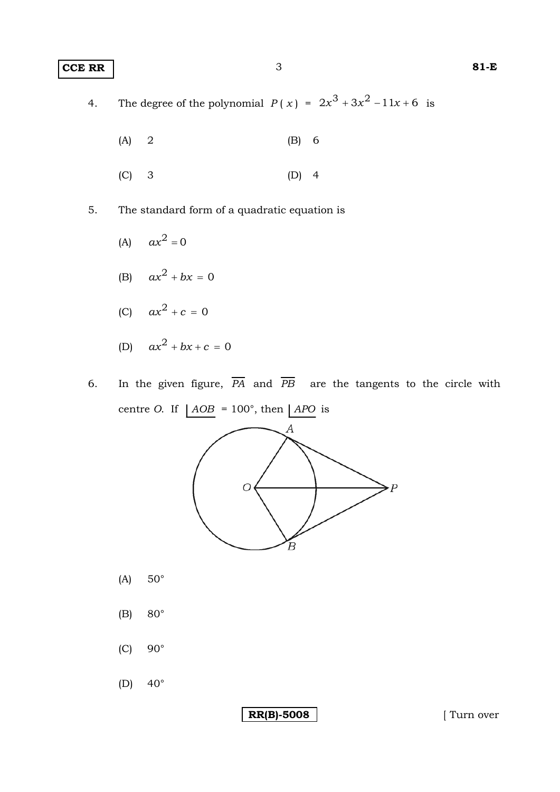## **CCE RR** 3 **81-E**

4. The degree of the polynomial  $P(x) = 2x^3 + 3x^2 - 11x + 6$  is

- (A) 2 (B) 6
- (C) 3 (D) 4
- 5. The standard form of a quadratic equation is
	- (A)  $ax^2 = 0$
	- (B)  $ax^2 + bx = 0$
	- (C)  $ax^2 + c = 0$
	- (D)  $ax^2 + bx + c = 0$
- 6. In the given figure,  $\overline{PA}$  and  $\overline{PB}$  are the tangents to the circle with centre *O*. If  $|AOB = 100^{\circ}$ , then  $| APO$  is



- (A) 50°
- (B) 80°
- $(C)$  90 $^{\circ}$
- (D)  $40^\circ$

**RR(B)-5008** [ Turn over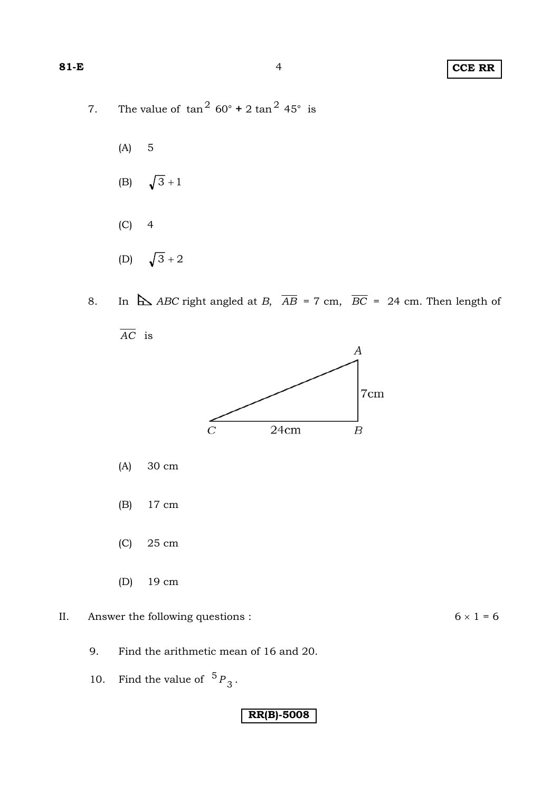- 7. The value of  $\tan^2 60^\circ + 2 \tan^2 45^\circ$  is
	- (A) 5
	- (B)  $\sqrt{3} + 1$
	- $(C) 4$
	- (D)  $\sqrt{3} + 2$
- 8. In  $\Delta$  *ABC* right angled at *B*,  $\overline{AB}$  = 7 cm,  $\overline{BC}$  = 24 cm. Then length of





- (A) 30 cm
- (B) 17 cm
- (C) 25 cm
- (D) 19 cm
- II. Answer the following questions :  $6 \times 1 = 6$

- 9. Find the arithmetic mean of 16 and 20.
- 10. Find the value of  ${}^5P_3$ .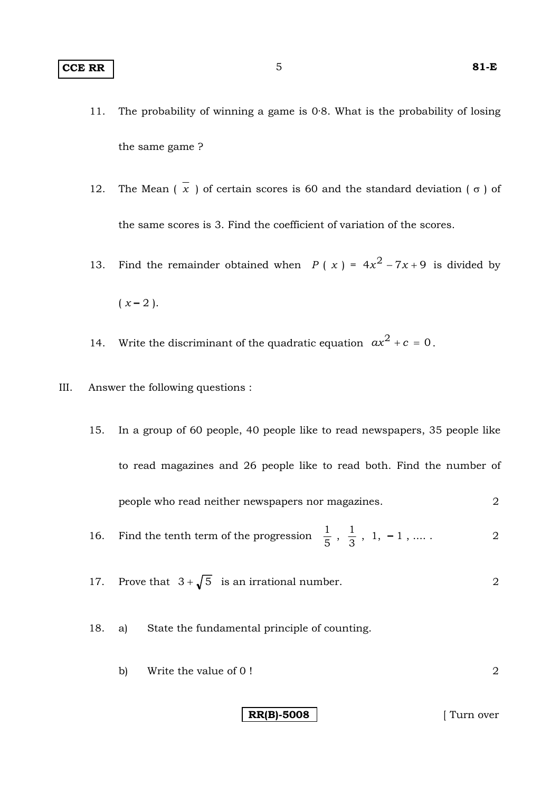- 11. The probability of winning a game is 0·8. What is the probability of losing the same game ?
- 12. The Mean  $(\overline{x})$  of certain scores is 60 and the standard deviation  $(\sigma)$  of the same scores is 3. Find the coefficient of variation of the scores.
- 13. Find the remainder obtained when *P* (*x*) =  $4x^2 7x + 9$  is divided by  $(x - 2)$ .
- 14. Write the discriminant of the quadratic equation  $ax^2 + c = 0$ .
- III. Answer the following questions :
	- 15. In a group of 60 people, 40 people like to read newspapers, 35 people like to read magazines and 26 people like to read both. Find the number of people who read neither newspapers nor magazines. 2
	- 16. Find the tenth term of the progression  $\frac{1}{5}$ ,  $\frac{1}{3}$ , 1, -1, .... . 2
	- 17. Prove that  $3 + \sqrt{5}$  is an irrational number. 2
	- 18. a) State the fundamental principle of counting.
		- b) Write the value of 0 !

**RR(B)-5008** | Turn over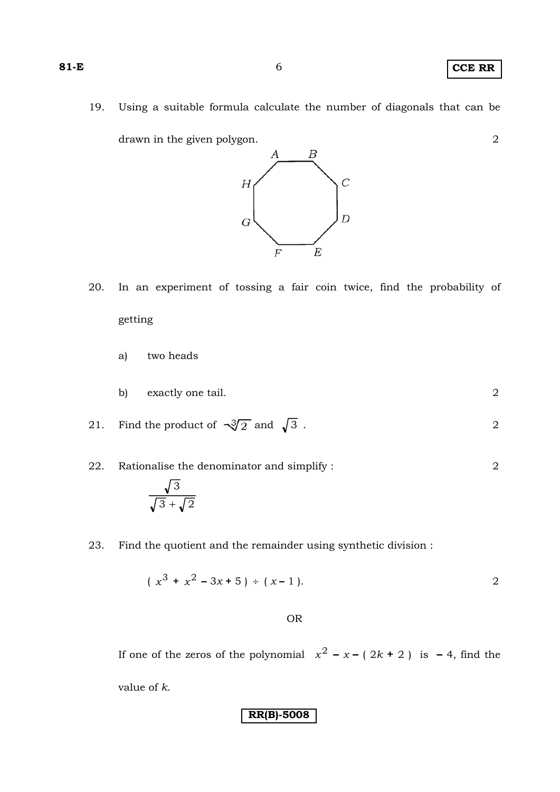19. Using a suitable formula calculate the number of diagonals that can be

 $\overline{B}$ 

А

drawn in the given polygon. 2

# $\overline{C}$  $\boldsymbol{H}$  $\overline{D}$  $\overline{G}$  $E$  $\overline{F}$

- 20. In an experiment of tossing a fair coin twice, find the probability of getting
	- a) two heads
	- b) exactly one tail. 2
- 21. Find the product of  $\sqrt{3}/2$  and  $\sqrt{3}$ . 2
- 22. Rationalise the denominator and simplify : 2  $\sqrt{3} + \sqrt{2}$ 3  $+\sqrt{2}$
- 23. Find the quotient and the remainder using synthetic division :

$$
(x^3 + x^2 - 3x + 5) \div (x - 1).
$$

### OR

If one of the zeros of the polynomial  $x^2 - x - (2k + 2)$  is  $-4$ , find the value of *k*.

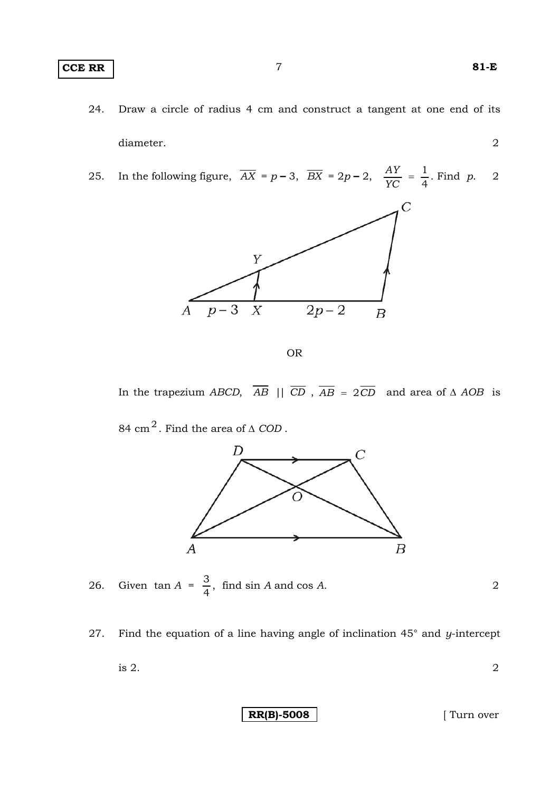### **CCE RR** 7 **81-E**

- 24. Draw a circle of radius 4 cm and construct a tangent at one end of its diameter. 2
- 25. In the following figure,  $\overline{AX} = p 3$ ,  $\overline{BX} = 2p 2$ ,  $\frac{AY}{YC} = \frac{1}{4}$ . Find *p*. 2



OR

In the trapezium *ABCD*,  $\overline{AB}$  ||  $\overline{CD}$ ,  $\overline{AB}$  = 2 $\overline{CD}$  and area of  $\triangle AOB$  is 84 cm<sup>2</sup>. Find the area of  $\Delta$  *COD* .



26. Given  $\tan A = \frac{3}{4}$ , find  $\sin A$  and  $\cos A$ . 2

27. Find the equation of a line having angle of inclination 45° and *y*-intercept

is 2.  $\hspace{1.5cm}$  2

**RR(B)-5008** [ Turn over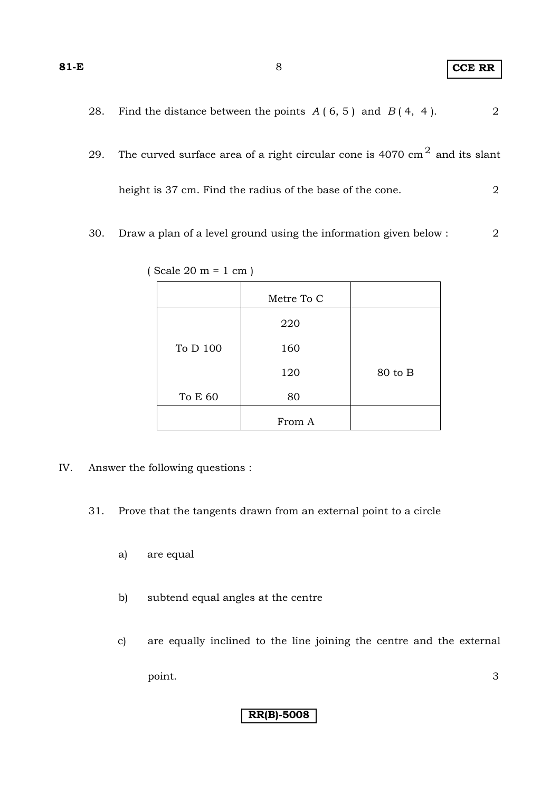| 81-E |                                                                                      | <b>CCE RR</b> |  |
|------|--------------------------------------------------------------------------------------|---------------|--|
| 28.  | Find the distance between the points $A(6, 5)$ and $B(4, 4)$ .                       | 2             |  |
| 29.  | The curved surface area of a right circular cone is 4070 $\text{cm}^2$ and its slant |               |  |

height is 37 cm. Find the radius of the base of the cone. 2

30. Draw a plan of a level ground using the information given below : 2

|          | Metre To C |         |
|----------|------------|---------|
|          | 220        |         |
| To D 100 | 160        |         |
|          | 120        | 80 to B |
| To E 60  | 80         |         |
|          | From A     |         |

( Scale 20 m = 1 cm )

- IV. Answer the following questions :
	- 31. Prove that the tangents drawn from an external point to a circle
		- a) are equal
		- b) subtend equal angles at the centre
		- c) are equally inclined to the line joining the centre and the external point. 3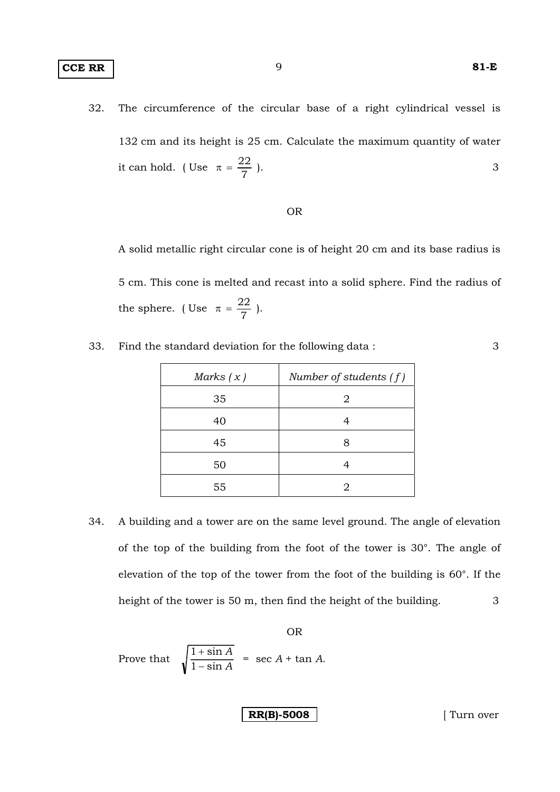### **CCE RR** 81-E

32. The circumference of the circular base of a right cylindrical vessel is 132 cm and its height is 25 cm. Calculate the maximum quantity of water it can hold. (Use  $\pi = \frac{22}{7}$ ).

#### OR

 A solid metallic right circular cone is of height 20 cm and its base radius is 5 cm. This cone is melted and recast into a solid sphere. Find the radius of the sphere. (Use  $\pi = \frac{22}{7}$ ).

33. Find the standard deviation for the following data : 3

| Marks $(x)$ | Number of students $(f)$ |
|-------------|--------------------------|
| 35          | 2                        |
| 40          |                          |
| 45          | 8                        |
| 50          |                          |
| 55          |                          |

34. A building and a tower are on the same level ground. The angle of elevation of the top of the building from the foot of the tower is 30°. The angle of elevation of the top of the tower from the foot of the building is 60°. If the height of the tower is 50 m, then find the height of the building. 3

OR

Prove that 
$$
\sqrt{\frac{1+\sin A}{1-\sin A}}
$$
 = sec A + tan A.

**RR(B)-5008 [** Turn over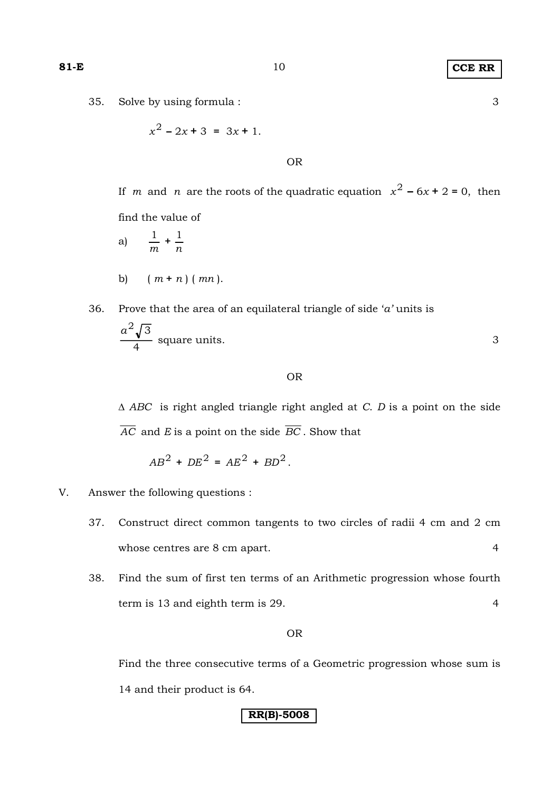#### 35. Solve by using formula : 3

$$
x^2 - 2x + 3 = 3x + 1.
$$

## OR

If *m* and *n* are the roots of the quadratic equation  $x^2 - 6x + 2 = 0$ , then find the value of

a) 
$$
\frac{1}{m} + \frac{1}{n}
$$
  
b) 
$$
(m+n) (mn).
$$

36. Prove that the area of an equilateral triangle of side '*a*' units is\n
$$
\frac{a^2 \sqrt{3}}{4}
$$
\nsquare units.

4

#### OR

Δ *ABC* is right angled triangle right angled at *C*. *D* is a point on the side *AC* and *E* is a point on the side *BC* . Show that

$$
AB^2 + DE^2 = AE^2 + BD^2.
$$

### V. Answer the following questions :

- 37. Construct direct common tangents to two circles of radii 4 cm and 2 cm whose centres are 8 cm apart. 4
- 38. Find the sum of first ten terms of an Arithmetic progression whose fourth term is 13 and eighth term is 29. 4

### OR

 Find the three consecutive terms of a Geometric progression whose sum is 14 and their product is 64.

## **RR(B)-5008**

## **81-E** 10 **CCE RR**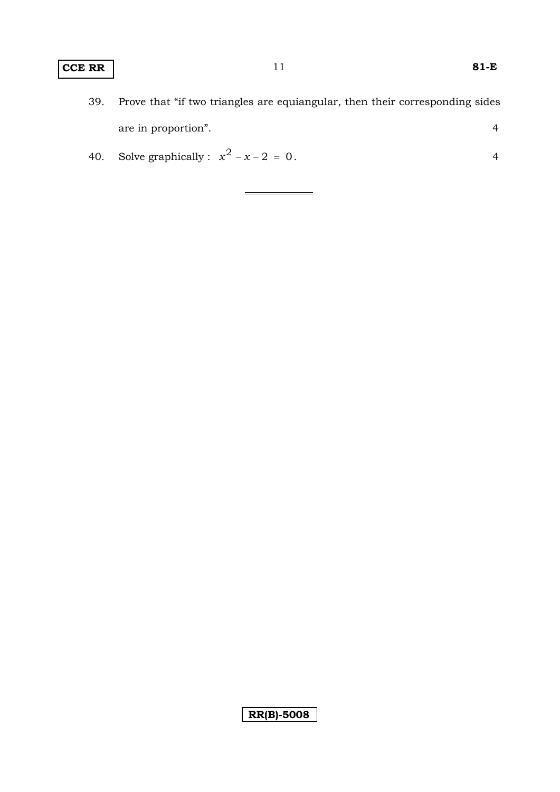# **CCE RR** 11 **81-E**

- 39. Prove that "if two triangles are equiangular, then their corresponding sides are in proportion". 4
- 40. Solve graphically :  $x^2 x 2 = 0$ . 4